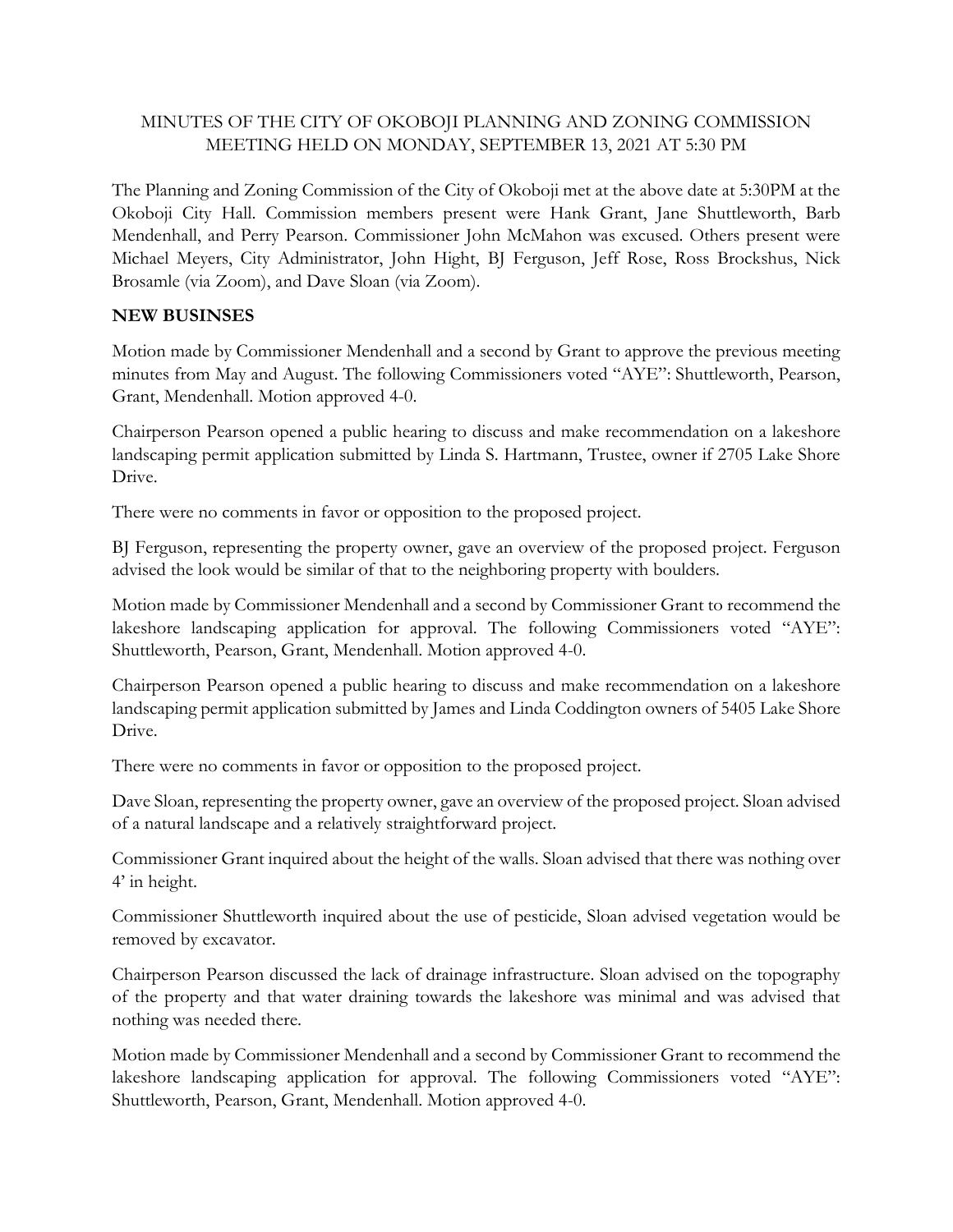## MINUTES OF THE CITY OF OKOBOJI PLANNING AND ZONING COMMISSION MEETING HELD ON MONDAY, SEPTEMBER 13, 2021 AT 5:30 PM

The Planning and Zoning Commission of the City of Okoboji met at the above date at 5:30PM at the Okoboji City Hall. Commission members present were Hank Grant, Jane Shuttleworth, Barb Mendenhall, and Perry Pearson. Commissioner John McMahon was excused. Others present were Michael Meyers, City Administrator, John Hight, BJ Ferguson, Jeff Rose, Ross Brockshus, Nick Brosamle (via Zoom), and Dave Sloan (via Zoom).

## **NEW BUSINSES**

Motion made by Commissioner Mendenhall and a second by Grant to approve the previous meeting minutes from May and August. The following Commissioners voted "AYE": Shuttleworth, Pearson, Grant, Mendenhall. Motion approved 4-0.

Chairperson Pearson opened a public hearing to discuss and make recommendation on a lakeshore landscaping permit application submitted by Linda S. Hartmann, Trustee, owner if 2705 Lake Shore Drive.

There were no comments in favor or opposition to the proposed project.

BJ Ferguson, representing the property owner, gave an overview of the proposed project. Ferguson advised the look would be similar of that to the neighboring property with boulders.

Motion made by Commissioner Mendenhall and a second by Commissioner Grant to recommend the lakeshore landscaping application for approval. The following Commissioners voted "AYE": Shuttleworth, Pearson, Grant, Mendenhall. Motion approved 4-0.

Chairperson Pearson opened a public hearing to discuss and make recommendation on a lakeshore landscaping permit application submitted by James and Linda Coddington owners of 5405 Lake Shore Drive.

There were no comments in favor or opposition to the proposed project.

Dave Sloan, representing the property owner, gave an overview of the proposed project. Sloan advised of a natural landscape and a relatively straightforward project.

Commissioner Grant inquired about the height of the walls. Sloan advised that there was nothing over 4' in height.

Commissioner Shuttleworth inquired about the use of pesticide, Sloan advised vegetation would be removed by excavator.

Chairperson Pearson discussed the lack of drainage infrastructure. Sloan advised on the topography of the property and that water draining towards the lakeshore was minimal and was advised that nothing was needed there.

Motion made by Commissioner Mendenhall and a second by Commissioner Grant to recommend the lakeshore landscaping application for approval. The following Commissioners voted "AYE": Shuttleworth, Pearson, Grant, Mendenhall. Motion approved 4-0.